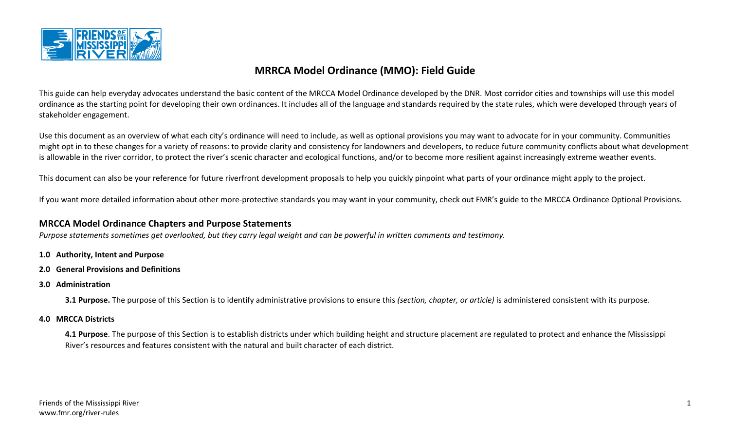

# **MRRCA Model Ordinance (MMO): Field Guide**

This guide can help everyday advocates understand the basic content of the MRCCA Model Ordinance developed by the DNR. Most corridor cities and townships will use this model ordinance as the starting point for developing their own ordinances. It includes all of the language and standards required by the state rules, which were developed through years of stakeholder engagement.

Use this document as an overview of what each city's ordinance will need to include, as well as optional provisions you may want to advocate for in your community. Communities might opt in to these changes for a variety of reasons: to provide clarity and consistency for landowners and developers, to reduce future community conflicts about what development is allowable in the river corridor, to protect the river's scenic character and ecological functions, and/or to become more resilient against increasingly extreme weather events.

This document can also be your reference for future riverfront development proposals to help you quickly pinpoint what parts of your ordinance might apply to the project.

If you want more detailed information about other more-protective standards you may want in your community, check out FMR's guide to the MRCCA Ordinance Optional Provisions.

### **MRCCA Model Ordinance Chapters and Purpose Statements**

*Purpose statements sometimes get overlooked, but they carry legal weight and can be powerful in written comments and testimony.*

- **1.0 Authority, Intent and Purpose**
- **2.0 General Provisions and Definitions**
- **3.0 Administration**

**3.1 Purpose.** The purpose of this Section is to identify administrative provisions to ensure this *(section, chapter, or article)* is administered consistent with its purpose.

**4.0 MRCCA Districts**

**4.1 Purpose**. The purpose of this Section is to establish districts under which building height and structure placement are regulated to protect and enhance the Mississippi River's resources and features consistent with the natural and built character of each district.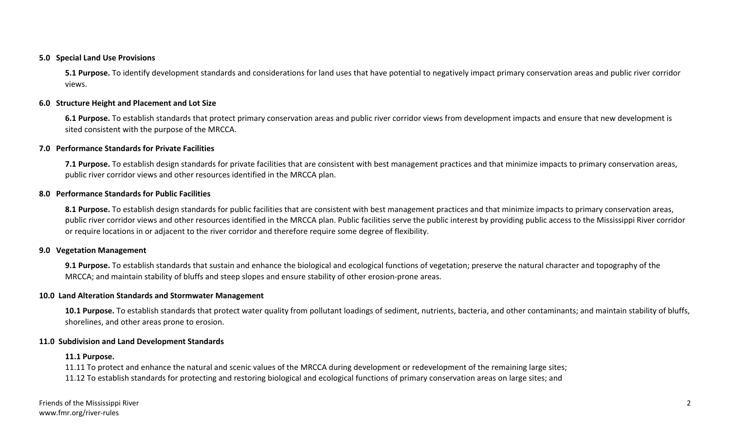#### **5.0 Special Land Use Provisions**

**5.1 Purpose.** To identify development standards and considerations for land uses that have potential to negatively impact primary conservation areas and public river corridor views.

#### **6.0 Structure Height and Placement and Lot Size**

**6.1 Purpose.** To establish standards that protect primary conservation areas and public river corridor views from development impacts and ensure that new development is sited consistent with the purpose of the MRCCA.

#### **7.0 Performance Standards for Private Facilities**

**7.1 Purpose.** To establish design standards for private facilities that are consistent with best management practices and that minimize impacts to primary conservation areas, public river corridor views and other resources identified in the MRCCA plan.

#### **8.0 Performance Standards for Public Facilities**

8.1 Purpose. To establish design standards for public facilities that are consistent with best management practices and that minimize impacts to primary conservation areas, public river corridor views and other resources identified in the MRCCA plan. Public facilities serve the public interest by providing public access to the Mississippi River corridor or require locations in or adjacent to the river corridor and therefore require some degree of flexibility.

#### **9.0 Vegetation Management**

**9.1 Purpose.** To establish standards that sustain and enhance the biological and ecological functions of vegetation; preserve the natural character and topography of the MRCCA; and maintain stability of bluffs and steep slopes and ensure stability of other erosion-prone areas.

#### **10.0 Land Alteration Standards and Stormwater Management**

**10.1 Purpose.** To establish standards that protect water quality from pollutant loadings of sediment, nutrients, bacteria, and other contaminants; and maintain stability of bluffs, shorelines, and other areas prone to erosion.

#### **11.0 Subdivision and Land Development Standards**

#### **11.1 Purpose.**

11.11 To protect and enhance the natural and scenic values of the MRCCA during development or redevelopment of the remaining large sites; 11.12 To establish standards for protecting and restoring biological and ecological functions of primary conservation areas on large sites; and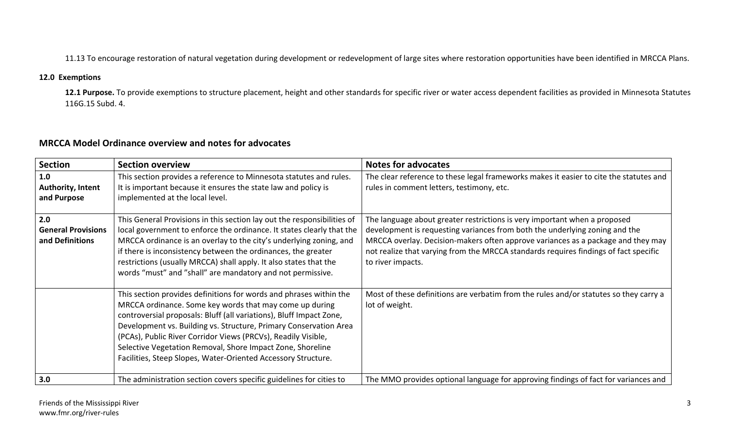11.13 To encourage restoration of natural vegetation during development or redevelopment of large sites where restoration opportunities have been identified in MRCCA Plans.

## **12.0 Exemptions**

12.1 Purpose. To provide exemptions to structure placement, height and other standards for specific river or water access dependent facilities as provided in Minnesota Statutes 116G.15 Subd. 4.

## **MRCCA Model Ordinance overview and notes for advocates**

| <b>Section</b>                                      | <b>Section overview</b>                                                                                                                                                                                                                                                                                                                                                                                                                                                   | <b>Notes for advocates</b>                                                                                                                                                                                                                                                                                                                                |
|-----------------------------------------------------|---------------------------------------------------------------------------------------------------------------------------------------------------------------------------------------------------------------------------------------------------------------------------------------------------------------------------------------------------------------------------------------------------------------------------------------------------------------------------|-----------------------------------------------------------------------------------------------------------------------------------------------------------------------------------------------------------------------------------------------------------------------------------------------------------------------------------------------------------|
| 1.0<br>Authority, Intent<br>and Purpose             | This section provides a reference to Minnesota statutes and rules.<br>It is important because it ensures the state law and policy is<br>implemented at the local level.                                                                                                                                                                                                                                                                                                   | The clear reference to these legal frameworks makes it easier to cite the statutes and<br>rules in comment letters, testimony, etc.                                                                                                                                                                                                                       |
| 2.0<br><b>General Provisions</b><br>and Definitions | This General Provisions in this section lay out the responsibilities of<br>local government to enforce the ordinance. It states clearly that the<br>MRCCA ordinance is an overlay to the city's underlying zoning, and<br>if there is inconsistency between the ordinances, the greater<br>restrictions (usually MRCCA) shall apply. It also states that the<br>words "must" and "shall" are mandatory and not permissive.                                                | The language about greater restrictions is very important when a proposed<br>development is requesting variances from both the underlying zoning and the<br>MRCCA overlay. Decision-makers often approve variances as a package and they may<br>not realize that varying from the MRCCA standards requires findings of fact specific<br>to river impacts. |
|                                                     | This section provides definitions for words and phrases within the<br>MRCCA ordinance. Some key words that may come up during<br>controversial proposals: Bluff (all variations), Bluff Impact Zone,<br>Development vs. Building vs. Structure, Primary Conservation Area<br>(PCAs), Public River Corridor Views (PRCVs), Readily Visible,<br>Selective Vegetation Removal, Shore Impact Zone, Shoreline<br>Facilities, Steep Slopes, Water-Oriented Accessory Structure. | Most of these definitions are verbatim from the rules and/or statutes so they carry a<br>lot of weight.                                                                                                                                                                                                                                                   |
| 3.0                                                 | The administration section covers specific guidelines for cities to                                                                                                                                                                                                                                                                                                                                                                                                       | The MMO provides optional language for approving findings of fact for variances and                                                                                                                                                                                                                                                                       |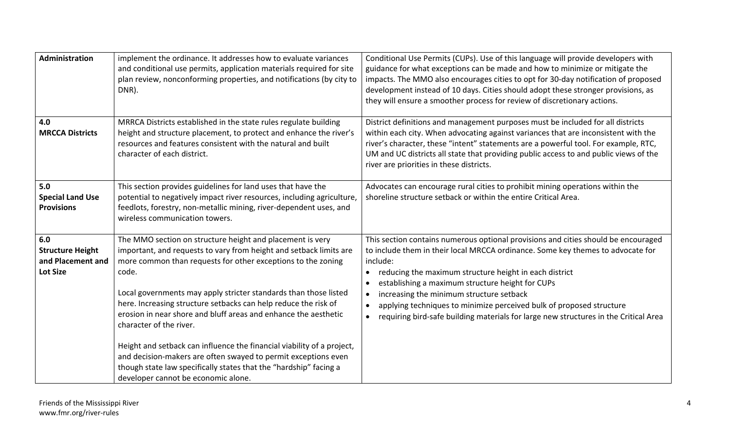| Administration                                                         | implement the ordinance. It addresses how to evaluate variances<br>and conditional use permits, application materials required for site<br>plan review, nonconforming properties, and notifications (by city to<br>DNR).                                                                                                                                                                                                                      | Conditional Use Permits (CUPs). Use of this language will provide developers with<br>guidance for what exceptions can be made and how to minimize or mitigate the<br>impacts. The MMO also encourages cities to opt for 30-day notification of proposed<br>development instead of 10 days. Cities should adopt these stronger provisions, as<br>they will ensure a smoother process for review of discretionary actions.                                                                                                                           |
|------------------------------------------------------------------------|-----------------------------------------------------------------------------------------------------------------------------------------------------------------------------------------------------------------------------------------------------------------------------------------------------------------------------------------------------------------------------------------------------------------------------------------------|----------------------------------------------------------------------------------------------------------------------------------------------------------------------------------------------------------------------------------------------------------------------------------------------------------------------------------------------------------------------------------------------------------------------------------------------------------------------------------------------------------------------------------------------------|
| 4.0<br><b>MRCCA Districts</b>                                          | MRRCA Districts established in the state rules regulate building<br>height and structure placement, to protect and enhance the river's<br>resources and features consistent with the natural and built<br>character of each district.                                                                                                                                                                                                         | District definitions and management purposes must be included for all districts<br>within each city. When advocating against variances that are inconsistent with the<br>river's character, these "intent" statements are a powerful tool. For example, RTC,<br>UM and UC districts all state that providing public access to and public views of the<br>river are priorities in these districts.                                                                                                                                                  |
| 5.0<br><b>Special Land Use</b><br><b>Provisions</b>                    | This section provides guidelines for land uses that have the<br>potential to negatively impact river resources, including agriculture,<br>feedlots, forestry, non-metallic mining, river-dependent uses, and<br>wireless communication towers.                                                                                                                                                                                                | Advocates can encourage rural cities to prohibit mining operations within the<br>shoreline structure setback or within the entire Critical Area.                                                                                                                                                                                                                                                                                                                                                                                                   |
| 6.0<br><b>Structure Height</b><br>and Placement and<br><b>Lot Size</b> | The MMO section on structure height and placement is very<br>important, and requests to vary from height and setback limits are<br>more common than requests for other exceptions to the zoning<br>code.<br>Local governments may apply stricter standards than those listed<br>here. Increasing structure setbacks can help reduce the risk of<br>erosion in near shore and bluff areas and enhance the aesthetic<br>character of the river. | This section contains numerous optional provisions and cities should be encouraged<br>to include them in their local MRCCA ordinance. Some key themes to advocate for<br>include:<br>reducing the maximum structure height in each district<br>$\bullet$<br>establishing a maximum structure height for CUPs<br>increasing the minimum structure setback<br>$\bullet$<br>applying techniques to minimize perceived bulk of proposed structure<br>requiring bird-safe building materials for large new structures in the Critical Area<br>$\bullet$ |
|                                                                        | Height and setback can influence the financial viability of a project,<br>and decision-makers are often swayed to permit exceptions even<br>though state law specifically states that the "hardship" facing a<br>developer cannot be economic alone.                                                                                                                                                                                          |                                                                                                                                                                                                                                                                                                                                                                                                                                                                                                                                                    |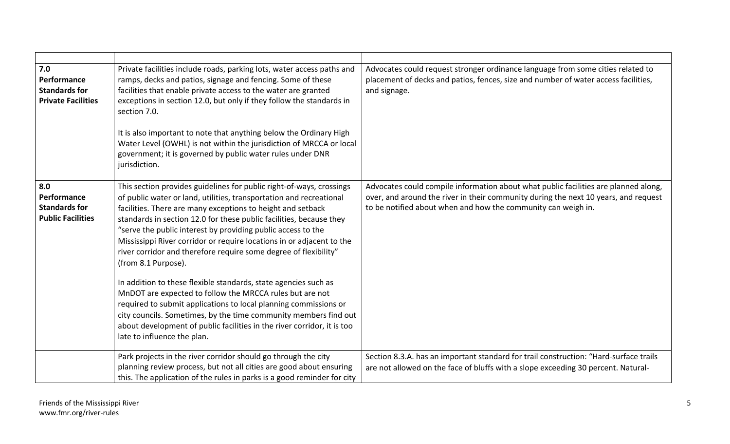| 7.0<br>Performance<br><b>Standards for</b><br><b>Private Facilities</b> | Private facilities include roads, parking lots, water access paths and<br>ramps, decks and patios, signage and fencing. Some of these<br>facilities that enable private access to the water are granted<br>exceptions in section 12.0, but only if they follow the standards in<br>section 7.0.<br>It is also important to note that anything below the Ordinary High<br>Water Level (OWHL) is not within the jurisdiction of MRCCA or local<br>government; it is governed by public water rules under DNR<br>jurisdiction.                                                                                                                                                                                                                                                                                                                                                                            | Advocates could request stronger ordinance language from some cities related to<br>placement of decks and patios, fences, size and number of water access facilities,<br>and signage.                                                       |
|-------------------------------------------------------------------------|--------------------------------------------------------------------------------------------------------------------------------------------------------------------------------------------------------------------------------------------------------------------------------------------------------------------------------------------------------------------------------------------------------------------------------------------------------------------------------------------------------------------------------------------------------------------------------------------------------------------------------------------------------------------------------------------------------------------------------------------------------------------------------------------------------------------------------------------------------------------------------------------------------|---------------------------------------------------------------------------------------------------------------------------------------------------------------------------------------------------------------------------------------------|
| 8.0<br>Performance<br><b>Standards for</b><br><b>Public Facilities</b>  | This section provides guidelines for public right-of-ways, crossings<br>of public water or land, utilities, transportation and recreational<br>facilities. There are many exceptions to height and setback<br>standards in section 12.0 for these public facilities, because they<br>"serve the public interest by providing public access to the<br>Mississippi River corridor or require locations in or adjacent to the<br>river corridor and therefore require some degree of flexibility"<br>(from 8.1 Purpose).<br>In addition to these flexible standards, state agencies such as<br>MnDOT are expected to follow the MRCCA rules but are not<br>required to submit applications to local planning commissions or<br>city councils. Sometimes, by the time community members find out<br>about development of public facilities in the river corridor, it is too<br>late to influence the plan. | Advocates could compile information about what public facilities are planned along,<br>over, and around the river in their community during the next 10 years, and request<br>to be notified about when and how the community can weigh in. |
|                                                                         | Park projects in the river corridor should go through the city<br>planning review process, but not all cities are good about ensuring<br>this. The application of the rules in parks is a good reminder for city                                                                                                                                                                                                                                                                                                                                                                                                                                                                                                                                                                                                                                                                                       | Section 8.3.A. has an important standard for trail construction: "Hard-surface trails<br>are not allowed on the face of bluffs with a slope exceeding 30 percent. Natural-                                                                  |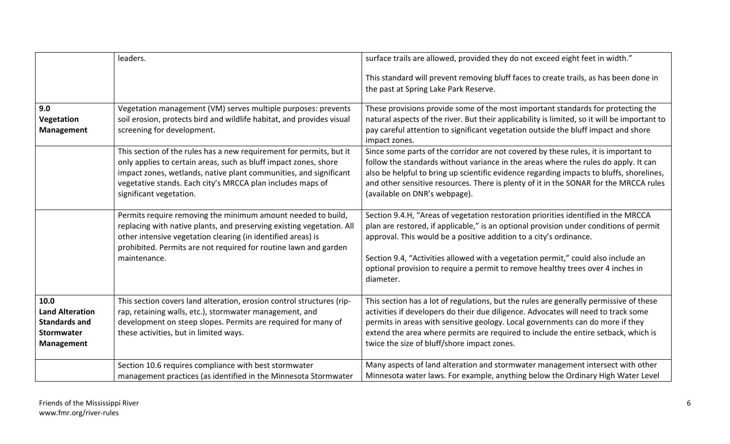|                                                                                                  | leaders.                                                                                                                                                                                                                                                                                              | surface trails are allowed, provided they do not exceed eight feet in width."                                                                                                                                                                                                                                                                                                                                                           |
|--------------------------------------------------------------------------------------------------|-------------------------------------------------------------------------------------------------------------------------------------------------------------------------------------------------------------------------------------------------------------------------------------------------------|-----------------------------------------------------------------------------------------------------------------------------------------------------------------------------------------------------------------------------------------------------------------------------------------------------------------------------------------------------------------------------------------------------------------------------------------|
|                                                                                                  |                                                                                                                                                                                                                                                                                                       | This standard will prevent removing bluff faces to create trails, as has been done in<br>the past at Spring Lake Park Reserve.                                                                                                                                                                                                                                                                                                          |
| 9.0<br>Vegetation<br><b>Management</b>                                                           | Vegetation management (VM) serves multiple purposes: prevents<br>soil erosion, protects bird and wildlife habitat, and provides visual<br>screening for development.                                                                                                                                  | These provisions provide some of the most important standards for protecting the<br>natural aspects of the river. But their applicability is limited, so it will be important to<br>pay careful attention to significant vegetation outside the bluff impact and shore<br>impact zones.                                                                                                                                                 |
|                                                                                                  | This section of the rules has a new requirement for permits, but it<br>only applies to certain areas, such as bluff impact zones, shore<br>impact zones, wetlands, native plant communities, and significant<br>vegetative stands. Each city's MRCCA plan includes maps of<br>significant vegetation. | Since some parts of the corridor are not covered by these rules, it is important to<br>follow the standards without variance in the areas where the rules do apply. It can<br>also be helpful to bring up scientific evidence regarding impacts to bluffs, shorelines,<br>and other sensitive resources. There is plenty of it in the SONAR for the MRCCA rules<br>(available on DNR's webpage).                                        |
|                                                                                                  | Permits require removing the minimum amount needed to build,<br>replacing with native plants, and preserving existing vegetation. All<br>other intensive vegetation clearing (in identified areas) is<br>prohibited. Permits are not required for routine lawn and garden<br>maintenance.             | Section 9.4.H, "Areas of vegetation restoration priorities identified in the MRCCA<br>plan are restored, if applicable," is an optional provision under conditions of permit<br>approval. This would be a positive addition to a city's ordinance.<br>Section 9.4, "Activities allowed with a vegetation permit," could also include an<br>optional provision to require a permit to remove healthy trees over 4 inches in<br>diameter. |
| 10.0<br><b>Land Alteration</b><br><b>Standards and</b><br><b>Stormwater</b><br><b>Management</b> | This section covers land alteration, erosion control structures (rip-<br>rap, retaining walls, etc.), stormwater management, and<br>development on steep slopes. Permits are required for many of<br>these activities, but in limited ways.                                                           | This section has a lot of regulations, but the rules are generally permissive of these<br>activities if developers do their due diligence. Advocates will need to track some<br>permits in areas with sensitive geology. Local governments can do more if they<br>extend the area where permits are required to include the entire setback, which is<br>twice the size of bluff/shore impact zones.                                     |
|                                                                                                  | Section 10.6 requires compliance with best stormwater<br>management practices (as identified in the Minnesota Stormwater                                                                                                                                                                              | Many aspects of land alteration and stormwater management intersect with other<br>Minnesota water laws. For example, anything below the Ordinary High Water Level                                                                                                                                                                                                                                                                       |